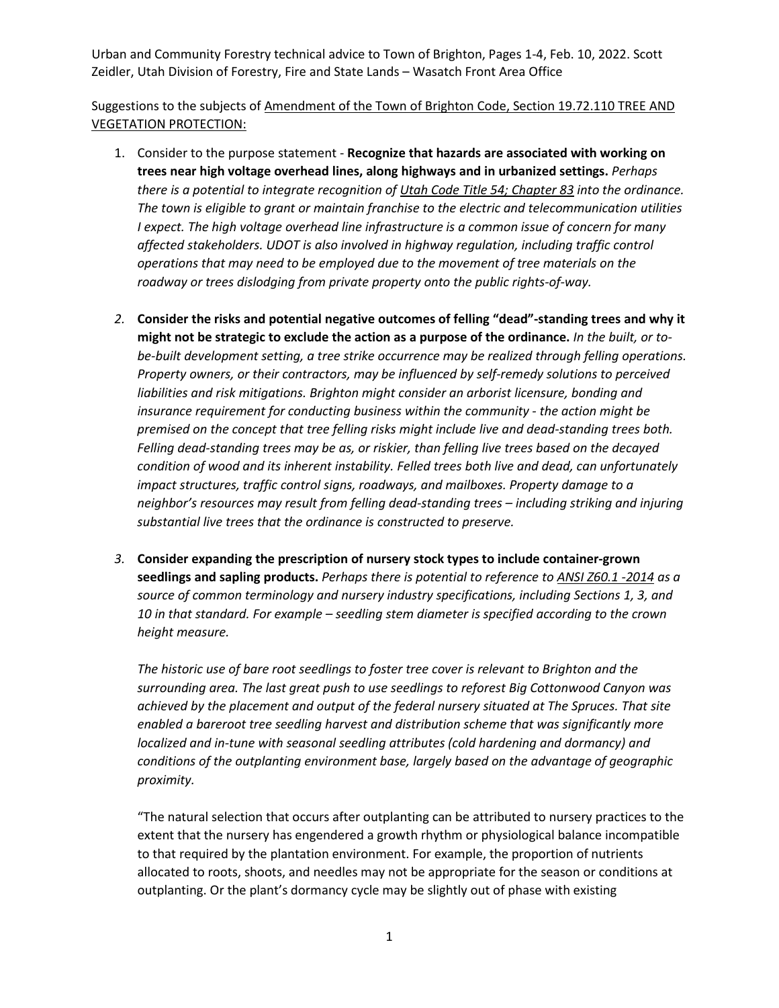Suggestions to the subjects of Amendment of the Town of Brighton Code, Section 19.72.110 TREE AND VEGETATION PROTECTION:

- 1. Consider to the purpose statement **Recognize that hazards are associated with working on trees near high voltage overhead lines, along highways and in urbanized settings.** *Perhaps there is a potential to integrate recognition of Utah Code Title 54; Chapter 83 into the ordinance. The town is eligible to grant or maintain franchise to the electric and telecommunication utilities I expect. The high voltage overhead line infrastructure is a common issue of concern for many affected stakeholders. UDOT is also involved in highway regulation, including traffic control operations that may need to be employed due to the movement of tree materials on the roadway or trees dislodging from private property onto the public rights-of-way.*
- *2.* **Consider the risks and potential negative outcomes of felling "dead"-standing trees and why it might not be strategic to exclude the action as a purpose of the ordinance.** *In the built, or tobe-built development setting, a tree strike occurrence may be realized through felling operations. Property owners, or their contractors, may be influenced by self-remedy solutions to perceived liabilities and risk mitigations. Brighton might consider an arborist licensure, bonding and insurance requirement for conducting business within the community - the action might be premised on the concept that tree felling risks might include live and dead-standing trees both. Felling dead-standing trees may be as, or riskier, than felling live trees based on the decayed condition of wood and its inherent instability. Felled trees both live and dead, can unfortunately impact structures, traffic control signs, roadways, and mailboxes. Property damage to a neighbor's resources may result from felling dead-standing trees – including striking and injuring substantial live trees that the ordinance is constructed to preserve.*
- *3.* **Consider expanding the prescription of nursery stock types to include container-grown seedlings and sapling products.** *Perhaps there is potential to reference to ANSI Z60.1 -2014 as a source of common terminology and nursery industry specifications, including Sections 1, 3, and 10 in that standard. For example – seedling stem diameter is specified according to the crown height measure.*

*The historic use of bare root seedlings to foster tree cover is relevant to Brighton and the surrounding area. The last great push to use seedlings to reforest Big Cottonwood Canyon was achieved by the placement and output of the federal nursery situated at The Spruces. That site enabled a bareroot tree seedling harvest and distribution scheme that was significantly more localized and in-tune with seasonal seedling attributes (cold hardening and dormancy) and conditions of the outplanting environment base, largely based on the advantage of geographic proximity.* 

"The natural selection that occurs after outplanting can be attributed to nursery practices to the extent that the nursery has engendered a growth rhythm or physiological balance incompatible to that required by the plantation environment. For example, the proportion of nutrients allocated to roots, shoots, and needles may not be appropriate for the season or conditions at outplanting. Or the plant's dormancy cycle may be slightly out of phase with existing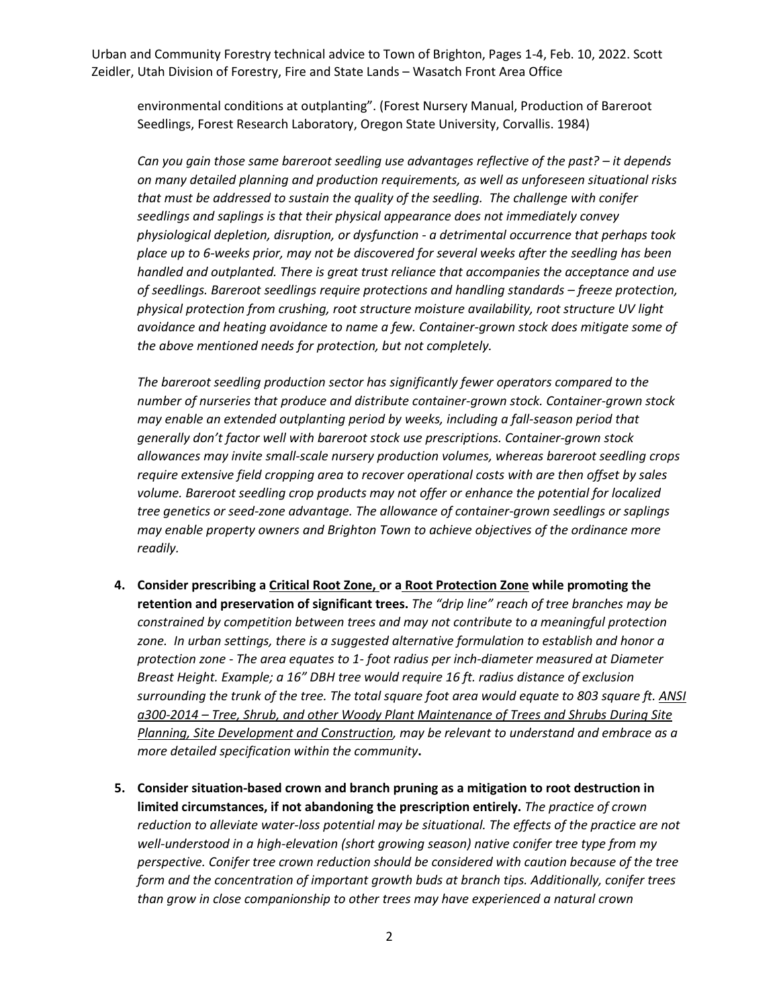environmental conditions at outplanting". (Forest Nursery Manual, Production of Bareroot Seedlings, Forest Research Laboratory, Oregon State University, Corvallis. 1984)

*Can you gain those same bareroot seedling use advantages reflective of the past? – it depends on many detailed planning and production requirements, as well as unforeseen situational risks that must be addressed to sustain the quality of the seedling. The challenge with conifer seedlings and saplings is that their physical appearance does not immediately convey physiological depletion, disruption, or dysfunction - a detrimental occurrence that perhaps took place up to 6-weeks prior, may not be discovered for several weeks after the seedling has been handled and outplanted. There is great trust reliance that accompanies the acceptance and use of seedlings. Bareroot seedlings require protections and handling standards – freeze protection, physical protection from crushing, root structure moisture availability, root structure UV light avoidance and heating avoidance to name a few. Container-grown stock does mitigate some of the above mentioned needs for protection, but not completely.* 

*The bareroot seedling production sector has significantly fewer operators compared to the number of nurseries that produce and distribute container-grown stock. Container-grown stock may enable an extended outplanting period by weeks, including a fall-season period that generally don't factor well with bareroot stock use prescriptions. Container-grown stock allowances may invite small-scale nursery production volumes, whereas bareroot seedling crops require extensive field cropping area to recover operational costs with are then offset by sales volume. Bareroot seedling crop products may not offer or enhance the potential for localized tree genetics or seed-zone advantage. The allowance of container-grown seedlings or saplings may enable property owners and Brighton Town to achieve objectives of the ordinance more readily.*

- **4. Consider prescribing a Critical Root Zone, or a Root Protection Zone while promoting the retention and preservation of significant trees.** *The "drip line" reach of tree branches may be constrained by competition between trees and may not contribute to a meaningful protection zone. In urban settings, there is a suggested alternative formulation to establish and honor a protection zone - The area equates to 1- foot radius per inch-diameter measured at Diameter Breast Height. Example; a 16" DBH tree would require 16 ft. radius distance of exclusion surrounding the trunk of the tree. The total square foot area would equate to 803 square ft. ANSI a300-2014 – Tree, Shrub, and other Woody Plant Maintenance of Trees and Shrubs During Site Planning, Site Development and Construction, may be relevant to understand and embrace as a more detailed specification within the community***.**
- **5. Consider situation-based crown and branch pruning as a mitigation to root destruction in limited circumstances, if not abandoning the prescription entirely.** *The practice of crown reduction to alleviate water-loss potential may be situational. The effects of the practice are not well-understood in a high-elevation (short growing season) native conifer tree type from my perspective. Conifer tree crown reduction should be considered with caution because of the tree form and the concentration of important growth buds at branch tips. Additionally, conifer trees than grow in close companionship to other trees may have experienced a natural crown*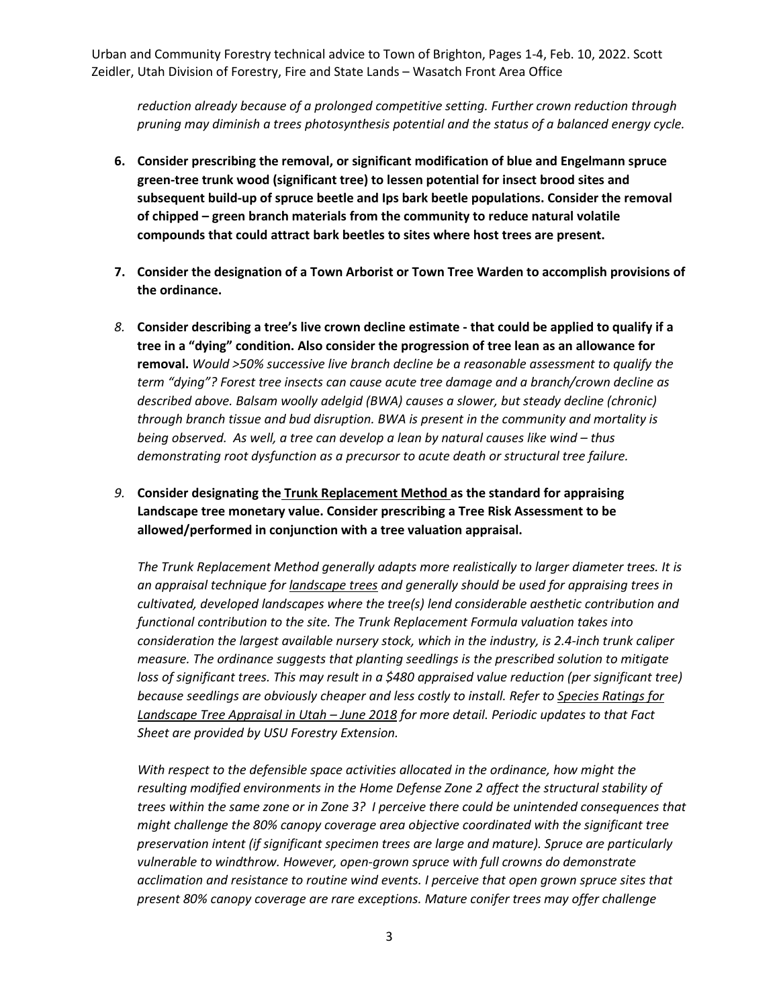*reduction already because of a prolonged competitive setting. Further crown reduction through pruning may diminish a trees photosynthesis potential and the status of a balanced energy cycle.*

- **6. Consider prescribing the removal, or significant modification of blue and Engelmann spruce green-tree trunk wood (significant tree) to lessen potential for insect brood sites and subsequent build-up of spruce beetle and Ips bark beetle populations. Consider the removal of chipped – green branch materials from the community to reduce natural volatile compounds that could attract bark beetles to sites where host trees are present.**
- **7. Consider the designation of a Town Arborist or Town Tree Warden to accomplish provisions of the ordinance.**
- *8.* **Consider describing a tree's live crown decline estimate - that could be applied to qualify if a tree in a "dying" condition. Also consider the progression of tree lean as an allowance for removal.** *Would >50% successive live branch decline be a reasonable assessment to qualify the term "dying"? Forest tree insects can cause acute tree damage and a branch/crown decline as described above. Balsam woolly adelgid (BWA) causes a slower, but steady decline (chronic) through branch tissue and bud disruption. BWA is present in the community and mortality is being observed. As well, a tree can develop a lean by natural causes like wind – thus demonstrating root dysfunction as a precursor to acute death or structural tree failure.*
- *9.* **Consider designating the Trunk Replacement Method as the standard for appraising Landscape tree monetary value. Consider prescribing a Tree Risk Assessment to be allowed/performed in conjunction with a tree valuation appraisal.**

*The Trunk Replacement Method generally adapts more realistically to larger diameter trees. It is an appraisal technique for landscape trees and generally should be used for appraising trees in cultivated, developed landscapes where the tree(s) lend considerable aesthetic contribution and functional contribution to the site. The Trunk Replacement Formula valuation takes into consideration the largest available nursery stock, which in the industry, is 2.4-inch trunk caliper measure. The ordinance suggests that planting seedlings is the prescribed solution to mitigate loss of significant trees. This may result in a \$480 appraised value reduction (per significant tree) because seedlings are obviously cheaper and less costly to install. Refer to Species Ratings for Landscape Tree Appraisal in Utah – June 2018 for more detail. Periodic updates to that Fact Sheet are provided by USU Forestry Extension.*

*With respect to the defensible space activities allocated in the ordinance, how might the resulting modified environments in the Home Defense Zone 2 affect the structural stability of trees within the same zone or in Zone 3? I perceive there could be unintended consequences that might challenge the 80% canopy coverage area objective coordinated with the significant tree preservation intent (if significant specimen trees are large and mature). Spruce are particularly vulnerable to windthrow. However, open-grown spruce with full crowns do demonstrate acclimation and resistance to routine wind events. I perceive that open grown spruce sites that present 80% canopy coverage are rare exceptions. Mature conifer trees may offer challenge*